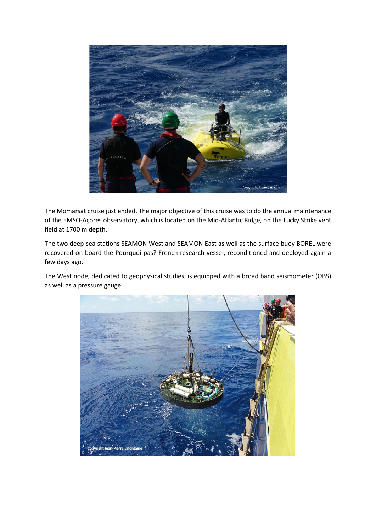

The Momarsat cruise just ended. The major objective of this cruise was to do the annual maintenance of the EMSO-Açores observatory, which is located on the Mid-Atlantic Ridge, on the Lucky Strike vent field at 1700 m depth.

The two deep-sea stations SEAMON West and SEAMON East as well as the surface buoy BOREL were recovered on board the Pourquoi pas? French research vessel, reconditioned and deployed again a few days ago.

The West node, dedicated to geophysical studies, is equipped with a broad band seismometer (OBS) as well as a pressure gauge.

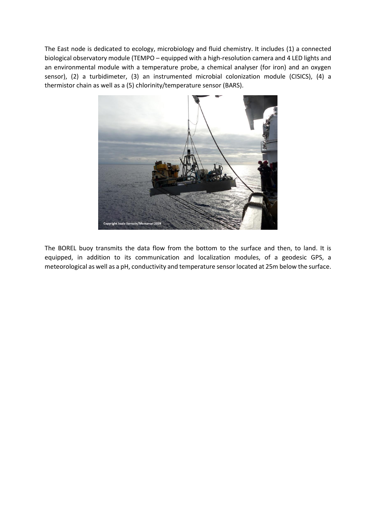The East node is dedicated to ecology, microbiology and fluid chemistry. It includes (1) a connected biological observatory module (TEMPO – equipped with a high-resolution camera and 4 LED lights and an environmental module with a temperature probe, a chemical analyser (for iron) and an oxygen sensor), (2) a turbidimeter, (3) an instrumented microbial colonization module (CISICS), (4) a thermistor chain as well as a (5) chlorinity/temperature sensor (BARS).



The BOREL buoy transmits the data flow from the bottom to the surface and then, to land. It is equipped, in addition to its communication and localization modules, of a geodesic GPS, a meteorological as well as a pH, conductivity and temperature sensor located at 25m below the surface.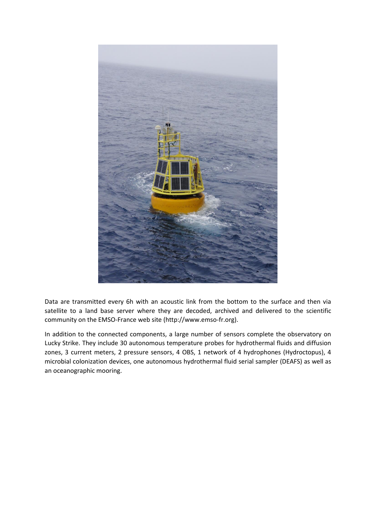

Data are transmitted every 6h with an acoustic link from the bottom to the surface and then via satellite to a land base server where they are decoded, archived and delivered to the scientific community on the EMSO-France web site (http://www.emso-fr.org).

In addition to the connected components, a large number of sensors complete the observatory on Lucky Strike. They include 30 autonomous temperature probes for hydrothermal fluids and diffusion zones, 3 current meters, 2 pressure sensors, 4 OBS, 1 network of 4 hydrophones (Hydroctopus), 4 microbial colonization devices, one autonomous hydrothermal fluid serial sampler (DEAFS) as well as an oceanographic mooring.